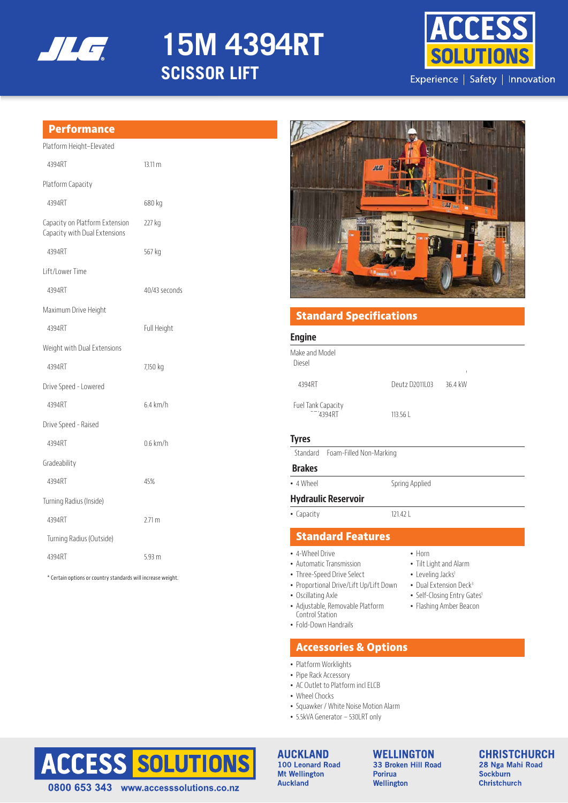

# **15M 4394RT SCISSOR LIFT**



## **Performance**

| Platform Height–Elevated                                        |                   |
|-----------------------------------------------------------------|-------------------|
| 4394RT                                                          | $13.11 \text{ m}$ |
| Platform Capacity                                               |                   |
| 4394RT                                                          | 680 kg            |
| Capacity on Platform Extension<br>Capacity with Dual Extensions | 227 kg            |
| 4394RT                                                          | 567 kg            |
| I ift/I ower Time                                               |                   |
| 4394RT                                                          | 40/43 seconds     |
| Maximum Drive Height                                            |                   |
| 4394RT                                                          | Full Height       |
| Weight with Dual Extensions                                     |                   |
| 4394RT                                                          | 7,150 kg          |
| Drive Speed - Lowered                                           |                   |
| 4394RT                                                          | $6.4$ km/h        |
| Drive Speed - Raised                                            |                   |
| 4394RT                                                          | $0.6$ km/h        |
| Gradeability                                                    |                   |
| 4394RT                                                          | 45%               |
| Turning Radius (Inside)                                         |                   |
| 4394RT                                                          | $2.71 \text{ m}$  |
| Turning Radius (Outside)                                        |                   |
| 4394RT                                                          | 5.93 m            |
|                                                                 |                   |

\* Certain options or country standards will increase weight.



# **Standard Specifications**

#### **Engine**

| Make and Model<br>Diesel     |                |         |
|------------------------------|----------------|---------|
| 4394RT                       | Deutz D2011 03 | 36.4 kW |
| Fuel Tank Capacity<br>4394RT | 113.56         |         |

### **Tyres**

Standard Foam-Filled Non-Marking

## **Brakes**

• 4 Wheel Spring Applied

## **Hydraulic Reservoir**

• Capacity 121.42 L

• Horn

• Tilt Light and Alarm • Leveling Jacks<sup>1</sup> • Dual Extension Deck<sup>3</sup> • Self-Closing Entry Gates<sup>1</sup> • Flashing Amber Beacon

# **Standard Features**

- 4-Wheel Drive
- Automatic Transmission
- Three-Speed Drive Select
- Proportional Drive/Lift Up/Lift Down
- Oscillating Axle
- Adjustable, Removable Platform Control Station
- Fold-Down Handrails

# **Accessories & Options**

- Platform Worklights
- Pipe Rack Accessory
- AC Outlet to Platform incl ELCB
- Wheel Chocks
- Squawker / White Noise Motion Alarm
- 5.5kVA Generator 530LRT only



**AUCKLAND** 100 Leonard Road **Mt Wellington Auckland** 

**WELLINGTON** 33 Broken Hill Road **Porirua** Wellington

#### **CHRISTCHURCH** 28 Nga Mahi Road **Sockburn Christchurch**